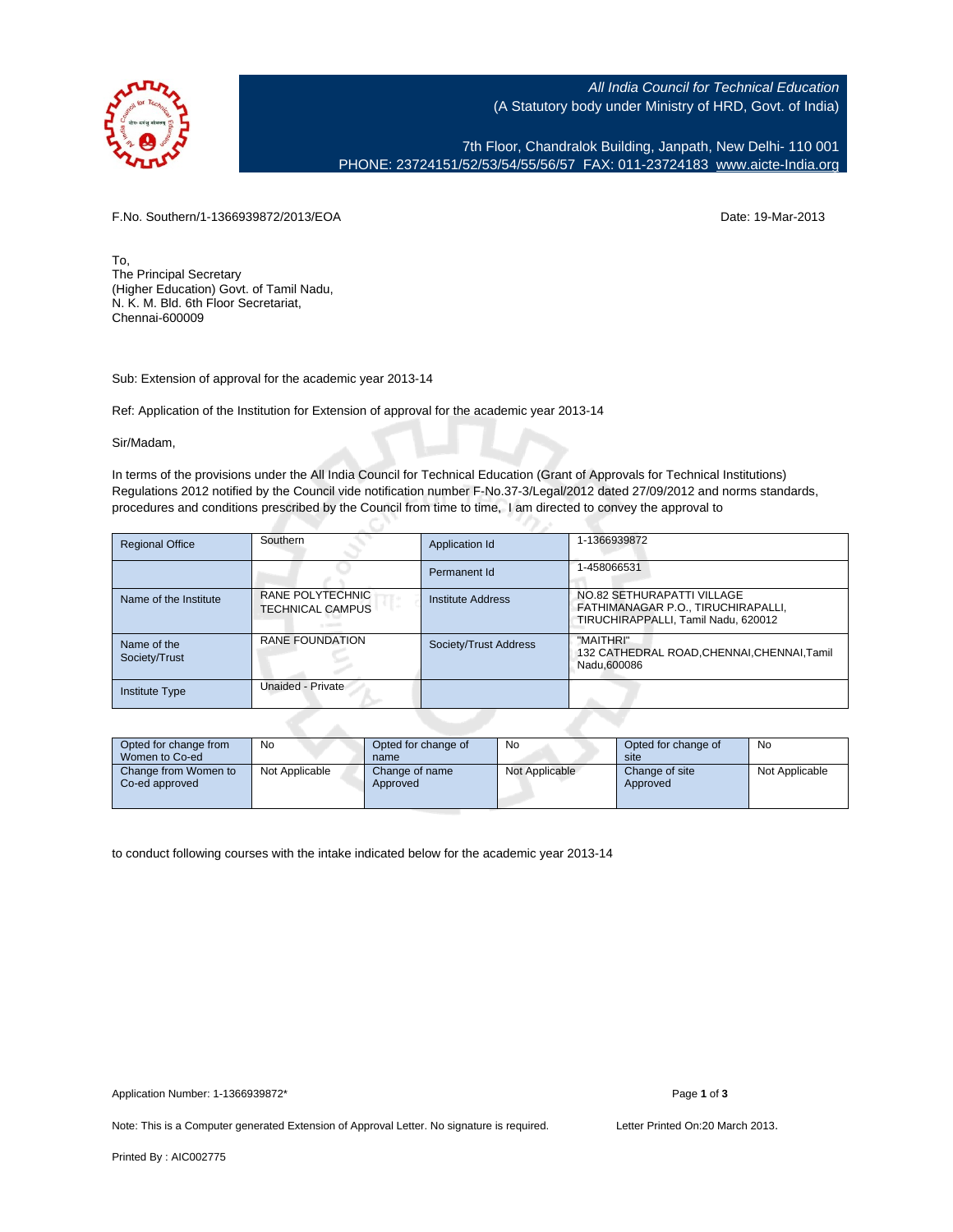

All India Council for Technical Education (A Statutory body under Ministry of HRD, Govt. of India)

7th Floor, Chandralok Building, Janpath, New Delhi- 110 001 PHONE: 23724151/52/53/54/55/56/57 FAX: 011-23724183 [www.aicte-India.org](http://www.aicte-India.org)

F.No. Southern/1-1366939872/2013/EOA Date: 19-Mar-2013

To, The Principal Secretary (Higher Education) Govt. of Tamil Nadu, N. K. M. Bld. 6th Floor Secretariat, Chennai-600009

Sub: Extension of approval for the academic year 2013-14

Ref: Application of the Institution for Extension of approval for the academic year 2013-14

C.

Sir/Madam,

In terms of the provisions under the All India Council for Technical Education (Grant of Approvals for Technical Institutions) Regulations 2012 notified by the Council vide notification number F-No.37-3/Legal/2012 dated 27/09/2012 and norms standards, procedures and conditions prescribed by the Council from time to time, I am directed to convey the approval to

| <b>Regional Office</b>       | Southern                                    | Application Id           | 1-1366939872                                                                                            |
|------------------------------|---------------------------------------------|--------------------------|---------------------------------------------------------------------------------------------------------|
|                              |                                             | Permanent Id             | 1-458066531                                                                                             |
| Name of the Institute        | RANE POLYTECHNIC<br><b>TECHNICAL CAMPUS</b> | <b>Institute Address</b> | NO.82 SETHURAPATTI VILLAGE<br>FATHIMANAGAR P.O., TIRUCHIRAPALLI,<br>TIRUCHIRAPPALLI, Tamil Nadu, 620012 |
| Name of the<br>Society/Trust | RANE FOUNDATION                             | Society/Trust Address    | "MAITHRI"<br>132 CATHEDRAL ROAD, CHENNAI, CHENNAI, Tamil<br>Nadu.600086                                 |
| <b>Institute Type</b>        | Unaided - Private                           |                          |                                                                                                         |

| Opted for change from<br>Women to Co-ed | <b>No</b>      | Opted for change of<br>name | No             | Opted for change of<br>site | No             |
|-----------------------------------------|----------------|-----------------------------|----------------|-----------------------------|----------------|
| Change from Women to<br>Co-ed approved  | Not Applicable | Change of name<br>Approved  | Not Applicable | Change of site<br>Approved  | Not Applicable |

to conduct following courses with the intake indicated below for the academic year 2013-14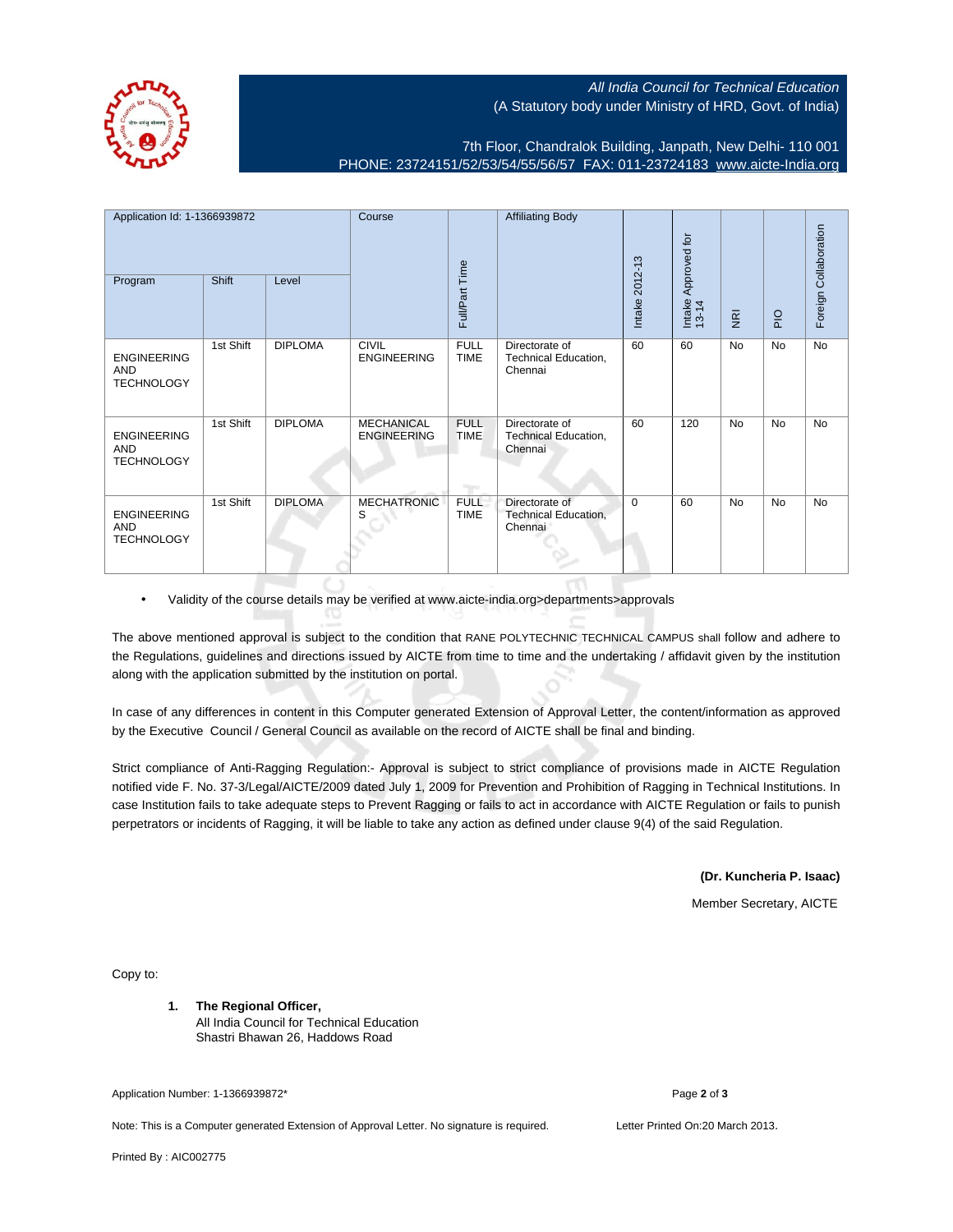## All India Council for Technical Education (A Statutory body under Ministry of HRD, Govt. of India)

7th Floor, Chandralok Building, Janpath, New Delhi- 110 001 PHONE: 23724151/52/53/54/55/56/57 FAX: 011-23724183 [www.aicte-India.org](http://www.aicte-India.org)

| Application Id: 1-1366939872                          |           | Course         |                                         | <b>Affiliating Body</b>    |                                                          | Approved for   |                 |                | Foreign Collaboration |    |
|-------------------------------------------------------|-----------|----------------|-----------------------------------------|----------------------------|----------------------------------------------------------|----------------|-----------------|----------------|-----------------------|----|
| Program                                               | Shift     | Level          |                                         | Full/Part Time             |                                                          | Intake 2012-13 | Intake<br>13-14 | $\overline{g}$ | $rac{O}{P}$           |    |
| <b>ENGINEERING</b><br>AND<br><b>TECHNOLOGY</b>        | 1st Shift | <b>DIPLOMA</b> | <b>CIVIL</b><br><b>ENGINEERING</b>      | <b>FULL</b><br><b>TIME</b> | Directorate of<br>Technical Education,<br>Chennai        | 60             | 60              | No             | No                    | No |
| <b>ENGINEERING</b><br><b>AND</b><br><b>TECHNOLOGY</b> | 1st Shift | <b>DIPLOMA</b> | <b>MECHANICAL</b><br><b>ENGINEERING</b> | <b>FULL</b><br><b>TIME</b> | Directorate of<br>Technical Education,<br>Chennai        | 60             | 120             | <b>No</b>      | No                    | No |
| <b>ENGINEERING</b><br><b>AND</b><br><b>TECHNOLOGY</b> | 1st Shift | <b>DIPLOMA</b> | <b>MECHATRONIC</b><br>S                 | <b>FULL</b><br><b>TIME</b> | Directorate of<br><b>Technical Education,</b><br>Chennai | $\Omega$       | 60              | <b>No</b>      | No                    | No |

• Validity of the course details may be verified at www.aicte-india.org>departments>approvals

The above mentioned approval is subject to the condition that RANE POLYTECHNIC TECHNICAL CAMPUS shall follow and adhere to the Regulations, guidelines and directions issued by AICTE from time to time and the undertaking / affidavit given by the institution along with the application submitted by the institution on portal.

In case of any differences in content in this Computer generated Extension of Approval Letter, the content/information as approved by the Executive Council / General Council as available on the record of AICTE shall be final and binding.

Strict compliance of Anti-Ragging Regulation:- Approval is subject to strict compliance of provisions made in AICTE Regulation notified vide F. No. 37-3/Legal/AICTE/2009 dated July 1, 2009 for Prevention and Prohibition of Ragging in Technical Institutions. In case Institution fails to take adequate steps to Prevent Ragging or fails to act in accordance with AICTE Regulation or fails to punish perpetrators or incidents of Ragging, it will be liable to take any action as defined under clause 9(4) of the said Regulation.

**(Dr. Kuncheria P. Isaac)**

Member Secretary, AICTE

Copy to:

**1. The Regional Officer,** All India Council for Technical Education Shastri Bhawan 26, Haddows Road

Application Number: 1-1366939872\* Page **2** of **3**

Note: This is a Computer generated Extension of Approval Letter. No signature is required. Letter Printed On:20 March 2013.